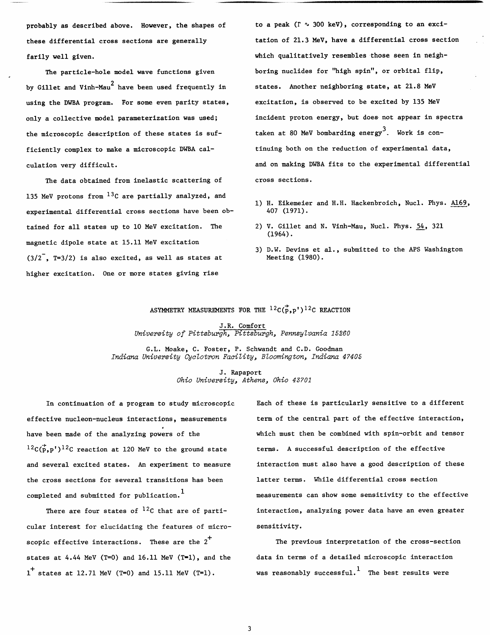probably as described above. However, the shapes of these differential cross sections are generally farily well given.

The particle-hole model wave functions given by Gillet and Vinh-Mau<sup>2</sup> have been used frequently in using the DWBA program. For some even parity states, only a collective model parameterization was used; the microscopic description of these states is sufficiently complex to make a microscopic DWBA calculation very difficult.

The data obtained from inelastic scattering of 135 MeV protons from  $^{13}$ C are partially analyzed, and experimental differential cross sections have been obtained for all states up to 10 MeV excitation. The magnetic dipole state at 15.11 MeV excitation  $(3/2^{-}$ , T=3/2) is also excited, as well as states at higher excitation. One or more states giving rise

to a peak ( $\Gamma \sim 300$  keV), corresponding to an excitation of 21.3 MeV, have a differential cross section which qualitatively resembles those seen in neighboring nuclides for "high spin", or orbital flip, states. Another neighboring state, at 21.8 MeV excitation, is observed to be excited by 135 MeV incident proton energy, but does not appear in spectra taken at 80 MeV bombarding energy<sup>3</sup>. Work is continuing both on the reduction of experimental data, and on making DWBA fits to the experimental differential cross sections.

- 1) H. Eikemeier and H.H. Hackenbroich, Nucl. Phys. A169, 407 (1971).
- 2) V. Gillet and N. Vinh-Mau, Nucl. Phys. *54,* 321 (1964).
- 3) D.W. Devins et al., submitted to the APS Washington Meeting (1980) .

## ASYMMETRY MEASUREMENTS FOR THE  ${}^{12}C(\vec{p}, p')\,{}^{12}C$  REACTION

J.R. Comfort *University of Pittsburgh, Pittsburgh, PennsyZvania 15260* 

G.L. Moake, C. Foster, P. Schwandt and C.D. Goodman *Indiana University* **Cyc** *Zotron Faci Zity* , *BZoomington, Indiana 4 7405* 

> J. Rapaport *Ohio University, Athens, Ohio 43701*

 ${}^{12}C(\vec{p},p')$ <sup>12</sup>C reaction at 120 MeV to the ground state terms. A successful description of the effective the cross sections for several transitions has been latter terms. While differential cross section

cular interest for elucidating the features of micro- sensitivity. scopic effective interactions. These are the  $2^T$  The previous interpretation of the cross-section states at 4.44 MeV (T=0) and 16.11 MeV (T=1), and the data in terms of a detailed microscopic interaction  $1^+$  states at 12.71 MeV (T=0) and 15.11 MeV (T=1). was reasonably successful. The best results were

In continuation of a program to study microscopic Each of these is particularly sensitive to a different effective nucleon-nucleus interactions, measurements term of the central part of the effective interaction, have been made of the analyzing powers of the which must then be combined with spin-orbit and tensor and several excited states. An experiment to measure interaction must also have a good description of these completed and submitted for publication.<sup>1</sup> measurements can show some sensitivity to the effective There are four states of  $^{12}C$  that are of parti-<br>interaction, analyzing power data have an even greater

3